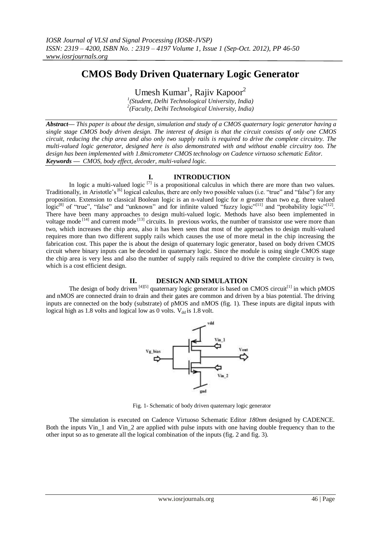# **CMOS Body Driven Quaternary Logic Generator**

Umesh Kumar<sup>1</sup>, Rajiv Kapoor<sup>2</sup>

*1 (Student, Delhi Technological University, India) 2 (Faculty, Delhi Technological University, India)*

*Abstract–– This paper is about the design, simulation and study of a CMOS quaternary logic generator having a single stage CMOS body driven design. The interest of design is that the circuit consists of only one CMOS circuit, reducing the chip area and also only two supply rails is required to drive the complete circuitry. The multi-valued logic generator, designed here is also demonstrated with and without enable circuitry too. The design has been implemented with 1.8micrometer CMOS technology on Cadence virtuoso schematic Editor. Keywords –– CMOS, body effect, decoder, multi-valued logic.*

# **I. INTRODUCTION**

In logic a multi-valued logic  $\left[7\right]$  is a propositional calculus in which there are more than two values. Traditionally, in Aristotle's<sup>[6]</sup> logical calculus, there are only two possible values (i.e. "true" and "false") for any proposition. Extension to classical Boolean logic is an n-valued logic for *n* greater than two e.g. three valued  $\logic^{[8]}$  of "true", "false" and "unknown" and for infinite valued "fuzzy logic"<sup>[11]</sup> and "probability logic"<sup>[12]</sup>. There have been many approaches to design multi-valued logic. Methods have also been implemented in voltage mode<sup>[14]</sup> and current mode<sup>[13]</sup> circuits. In previous works, the number of transistor use were more than two, which increases the chip area, also it has been seen that most of the approaches to design multi-valued requires more than two different supply rails which causes the use of more metal in the chip increasing the fabrication cost. This paper the is about the design of quaternary logic generator, based on body driven CMOS circuit where binary inputs can be decoded in quaternary logic. Since the module is using single CMOS stage the chip area is very less and also the number of supply rails required to drive the complete circuitry is two, which is a cost efficient design.

# **II. DESIGN AND SIMULATION**

The design of body driven [4][5] quaternary logic generator is based on CMOS circuit<sup>[1]</sup> in which pMOS and nMOS are connected drain to drain and their gates are common and driven by a bias potential. The driving inputs are connected on the body (substrate) of pMOS and nMOS (fig. 1). These inputs are digital inputs with logical high as 1.8 volts and logical low as 0 volts.  $V_{dd}$  is 1.8 volt.



Fig. 1- Schematic of body driven quaternary logic generator

The simulation is executed on Cadence Virtuoso Schematic Editor *180nm* designed by CADENCE. Both the inputs Vin 1 and Vin 2 are applied with pulse inputs with one having double frequency than to the other input so as to generate all the logical combination of the inputs (fig. 2 and fig. 3).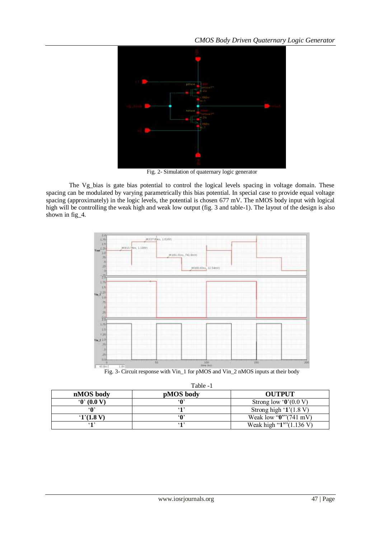

Fig. 2- Simulation of quaternary logic generator

The Vg\_bias is gate bias potential to control the logical levels spacing in voltage domain. These spacing can be modulated by varying parametrically this bias potential. In special case to provide equal voltage spacing (approximately) in the logic levels, the potential is chosen 677 mV. The nMOS body input with logical high will be controlling the weak high and weak low output (fig. 3 and table-1). The layout of the design is also shown in fig<sub>4</sub>.



Table -1

| nMOS body  | $1$ avit $-1$<br>pMOS body | <b>OUTPUT</b>                                 |
|------------|----------------------------|-----------------------------------------------|
| 0' (0.0 V) | ∶∩،                        | Strong low ' $\mathbf{0}$ ' $(0.0 \text{ V})$ |
| ۵۰،        | 64.7                       | Strong high $(1.8 V)$                         |
| (1)(1.8 V) | : ۸۵                       | Weak low " $0$ " $(741 \text{ mV})$           |
| 612        | (1)                        | Weak high " $1$ " $(1.136 V)$                 |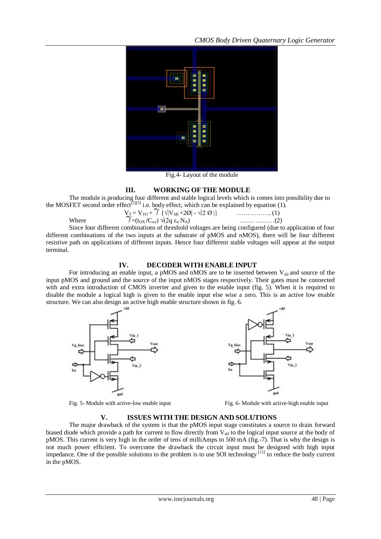

Fig.4- Layout of the module

#### **III. WORKING OF THE MODULE**

The module is producing four different and stable logical levels which is comes into possibility due to the MOSFET second order effect<sup>[2][3]</sup> i.e. body effect, which can be explained by equation (1).

$$
V_T = V_{TO} + \gamma \{\sqrt{|V_{SB} + 2\emptyset|} - \sqrt{|2 \ O|}\}\n\nWhere\n\n
$$
\gamma = (t_{OX}/C_{ox}) \sqrt{(2q \ \varepsilon_{si} N_A)}\n\n............ (2)
$$
$$

Since four different combinations of threshold voltages are being configured (due to application of four different combinations of the two inputs at the substrate of pMOS and nMOS), there will be four different resistive path on applications of different inputs. Hence four different stable voltages will appear at the output terminal.

### **IV. DECODER WITH ENABLE INPUT**

For introducing an enable input, a pMOS and nMOS are to be inserted between  $V_{dd}$  and source of the input pMOS and ground and the source of the input nMOS stages respectively. Their gates must be connected with and extra introduction of CMOS inverter and given to the enable input (fig. 5). When it is required to disable the module a logical high is given to the enable input else wise a zero. This is an active low enable structure. We can also design an active high enable structure shown in fig. 6.





Fig. 5- Module with active-low enable input Fig. 6- Module with active-high enable input

# **V. ISSUES WITH THE DESIGN AND SOLUTIONS**

The major drawback of the system is that the pMOS input stage constitutes a source to drain forward biased diode which provide a path for current to flow directly from  $V_{dd}$  to the logical input source at the body of pMOS. This current is very high in the order of tens of milliAmps to 500 mA (fig.-7). That is why the design is not much power efficient. To overcome the drawback the circuit input must be designed with high input impedance. One of the possible solutions to the problem is to use SOI technology [15] to reduce the body current in the pMOS.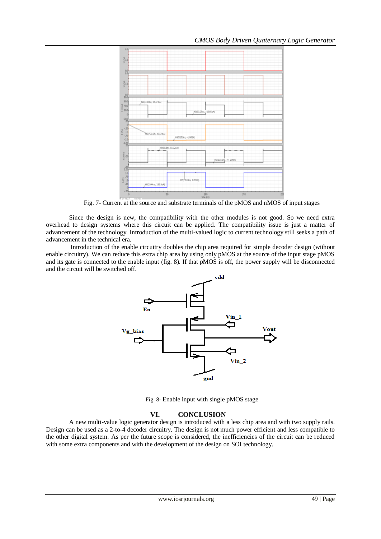

Fig. 7- Current at the source and substrate terminals of the pMOS and nMOS of input stages

Since the design is new, the compatibility with the other modules is not good. So we need extra overhead to design systems where this circuit can be applied. The compatibility issue is just a matter of advancement of the technology. Introduction of the multi-valued logic to current technology still seeks a path of advancement in the technical era.

Introduction of the enable circuitry doubles the chip area required for simple decoder design (without enable circuitry). We can reduce this extra chip area by using only pMOS at the source of the input stage pMOS and its gate is connected to the enable input (fig. 8). If that pMOS is off, the power supply will be disconnected and the circuit will be switched off.



Fig. 8- Enable input with single pMOS stage

# **VI. CONCLUSION**

A new multi-value logic generator design is introduced with a less chip area and with two supply rails. Design can be used as a 2-to-4 decoder circuitry. The design is not much power efficient and less compatible to the other digital system. As per the future scope is considered, the inefficiencies of the circuit can be reduced with some extra components and with the development of the design on SOI technology.